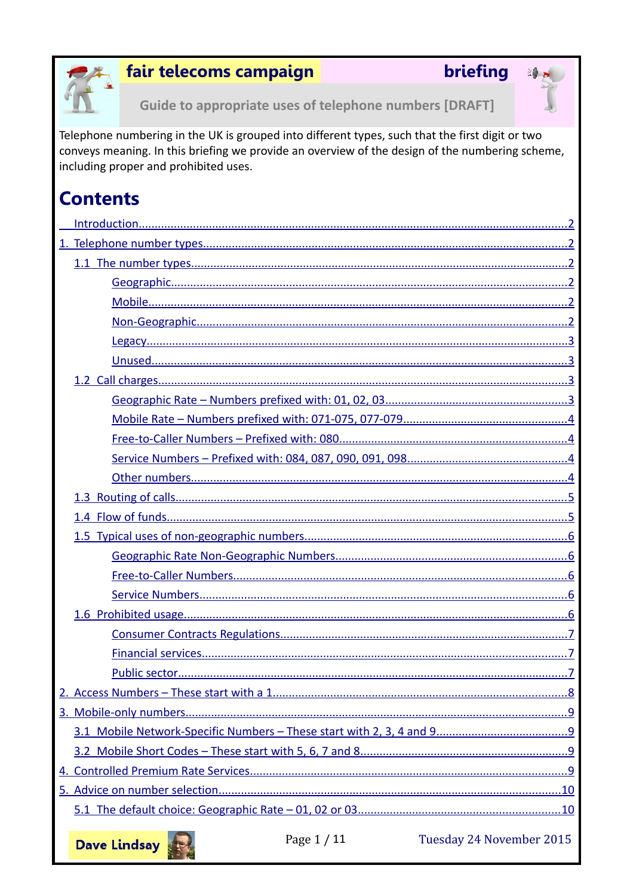

## fair telecoms campaign

## briefing



Guide to appropriate uses of telephone numbers [DRAFT]

Telephone numbering in the UK is grouped into different types, such that the first digit or two conveys meaning. In this briefing we provide an overview of the design of the numbering scheme, including proper and prohibited uses.

# **Contents**



Tuesday 24 November 2015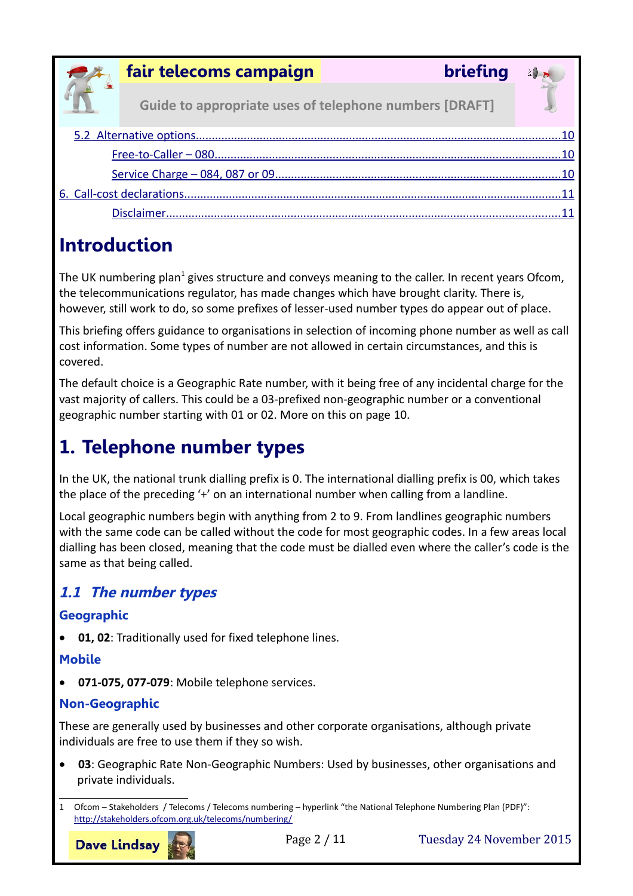

**Guide to appropriate uses of telephone numbers [DRAFT]**

# <span id="page-1-0"></span>**Introduction**

The UK numbering plan<sup>[1](#page-1-6)</sup> gives structure and conveys meaning to the caller. In recent years Ofcom, the telecommunications regulator, has made changes which have brought clarity. There is, however, still work to do, so some prefixes of lesser-used number types do appear out of place.

This briefing offers guidance to organisations in selection of incoming phone number as well as call cost information. Some types of number are not allowed in certain circumstances, and this is covered.

The default choice is a Geographic Rate number, with it being free of any incidental charge for the vast majority of callers. This could be a 03-prefixed non-geographic number or a conventional geographic number starting with 01 or 02. More on this on page [10.](#page-9-1)

# <span id="page-1-5"></span>**1. Telephone number types**

In the UK, the national trunk dialling prefix is 0. The international dialling prefix is 00, which takes the place of the preceding '+' on an international number when calling from a landline.

Local geographic numbers begin with anything from 2 to 9. From landlines geographic numbers with the same code can be called without the code for most geographic codes. In a few areas local dialling has been closed, meaning that the code must be dialled even where the caller's code is the same as that being called.

## <span id="page-1-4"></span>**1.1 The number types**

### <span id="page-1-3"></span>**Geographic**

**01, 02**: Traditionally used for fixed telephone lines.

### <span id="page-1-2"></span>**Mobile**

**071-075, 077-079**: Mobile telephone services.

### <span id="page-1-1"></span>**Non-Geographic**

These are generally used by businesses and other corporate organisations, although private individuals are free to use them if they so wish.

 **03**: Geographic Rate Non-Geographic Numbers: Used by businesses, other organisations and private individuals.

**Dave Lindsay** 

Page 2 / 11 Tuesday 24 November 2015

<span id="page-1-6"></span><sup>1</sup> Ofcom – Stakeholders / Telecoms / Telecoms numbering – hyperlink "the National Telephone Numbering Plan (PDF)": <http://stakeholders.ofcom.org.uk/telecoms/numbering/>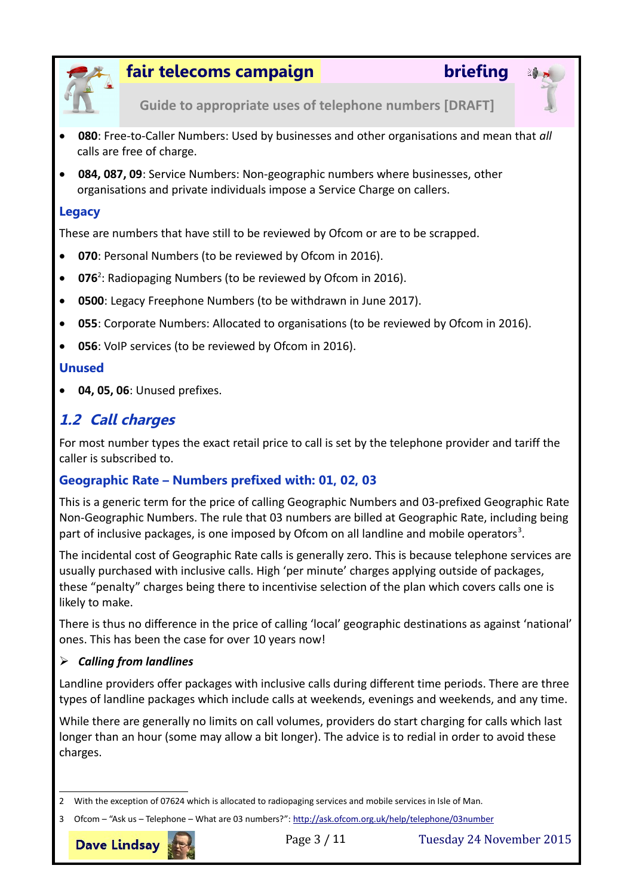



**Guide to appropriate uses of telephone numbers [DRAFT]**

- **080**: Free-to-Caller Numbers: Used by businesses and other organisations and mean that *all* calls are free of charge.
- **084, 087, 09**: Service Numbers: Non-geographic numbers where businesses, other organisations and private individuals impose a Service Charge on callers.

#### <span id="page-2-3"></span>**Legacy**

These are numbers that have still to be reviewed by Ofcom or are to be scrapped.

- **070**: Personal Numbers (to be reviewed by Ofcom in 2016).
- **076**[2](#page-2-4) : Radiopaging Numbers (to be reviewed by Ofcom in 2016).
- **0500**: Legacy Freephone Numbers (to be withdrawn in June 2017).
- **055**: Corporate Numbers: Allocated to organisations (to be reviewed by Ofcom in 2016).
- **056**: VoIP services (to be reviewed by Ofcom in 2016).

#### <span id="page-2-2"></span>**Unused**

**04, 05, 06**: Unused prefixes.

## <span id="page-2-1"></span>**1.2 Call charges**

For most number types the exact retail price to call is set by the telephone provider and tariff the caller is subscribed to.

### <span id="page-2-0"></span>**Geographic Rate – Numbers prefixed with: 01, 02, 03**

This is a generic term for the price of calling Geographic Numbers and 03-prefixed Geographic Rate Non-Geographic Numbers. The rule that 03 numbers are billed at Geographic Rate, including being part of inclusive packages, is one imposed by Ofcom on all landline and mobile operators<sup>[3](#page-2-5)</sup>.

The incidental cost of Geographic Rate calls is generally zero. This is because telephone services are usually purchased with inclusive calls. High 'per minute' charges applying outside of packages, these "penalty" charges being there to incentivise selection of the plan which covers calls one is likely to make.

There is thus no difference in the price of calling 'local' geographic destinations as against 'national' ones. This has been the case for over 10 years now!

#### *Calling from landlines*

Landline providers offer packages with inclusive calls during different time periods. There are three types of landline packages which include calls at weekends, evenings and weekends, and any time.

While there are generally no limits on call volumes, providers do start charging for calls which last longer than an hour (some may allow a bit longer). The advice is to redial in order to avoid these charges.

<sup>3</sup> Ofcom – "Ask us – Telephone – What are 03 numbers?": http://ask.ofcom.org.uk/help/telephone/03number



Page 3 / 11 Tuesday 24 November 2015

<span id="page-2-5"></span><span id="page-2-4"></span><sup>2</sup> With the exception of 07624 which is allocated to radiopaging services and mobile services in Isle of Man.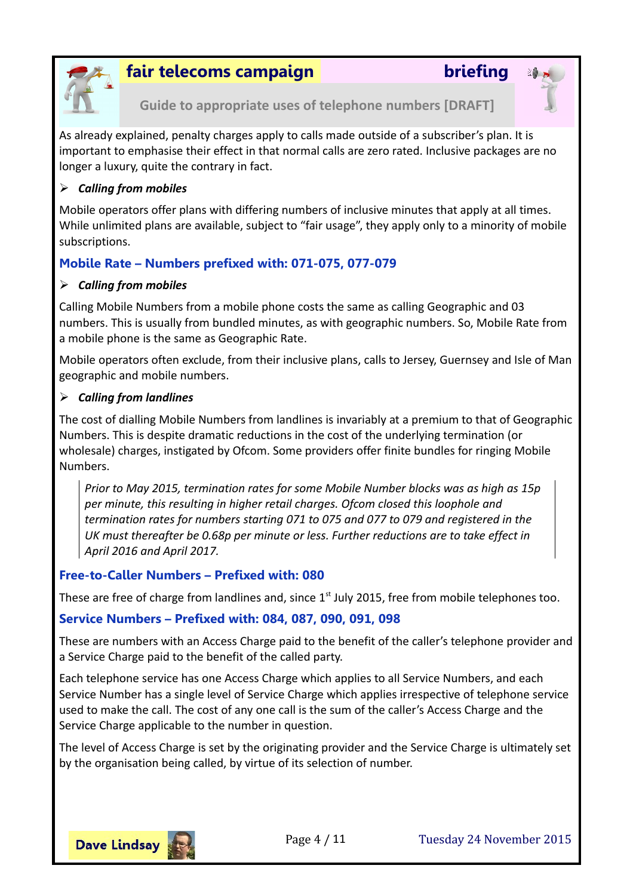



**Guide to appropriate uses of telephone numbers [DRAFT]**

As already explained, penalty charges apply to calls made outside of a subscriber's plan. It is important to emphasise their effect in that normal calls are zero rated. Inclusive packages are no longer a luxury, quite the contrary in fact.

#### *Calling from mobiles*

Mobile operators offer plans with differing numbers of inclusive minutes that apply at all times. While unlimited plans are available, subject to "fair usage", they apply only to a minority of mobile subscriptions.

### <span id="page-3-2"></span>**Mobile Rate – Numbers prefixed with: 071-075, 077-079**

#### *Calling from mobiles*

Calling Mobile Numbers from a mobile phone costs the same as calling Geographic and 03 numbers. This is usually from bundled minutes, as with geographic numbers. So, Mobile Rate from a mobile phone is the same as Geographic Rate.

Mobile operators often exclude, from their inclusive plans, calls to Jersey, Guernsey and Isle of Man geographic and mobile numbers.

#### *Calling from landlines*

The cost of dialling Mobile Numbers from landlines is invariably at a premium to that of Geographic Numbers. This is despite dramatic reductions in the cost of the underlying termination (or wholesale) charges, instigated by Ofcom. Some providers offer finite bundles for ringing Mobile Numbers.

*Prior to May 2015, termination rates for some Mobile Number blocks was as high as 15p per minute, this resulting in higher retail charges. Ofcom closed this loophole and termination rates for numbers starting 071 to 075 and 077 to 079 and registered in the UK must thereafter be 0.68p per minute or less. Further reductions are to take effect in April 2016 and April 2017.*

### <span id="page-3-1"></span>**Free-to-Caller Numbers – Prefixed with: 080**

These are free of charge from landlines and, since  $1<sup>st</sup>$  July 2015, free from mobile telephones too.

### <span id="page-3-0"></span>**Service Numbers – Prefixed with: 084, 087, 090, 091, 098**

These are numbers with an Access Charge paid to the benefit of the caller's telephone provider and a Service Charge paid to the benefit of the called party.

Each telephone service has one Access Charge which applies to all Service Numbers, and each Service Number has a single level of Service Charge which applies irrespective of telephone service used to make the call. The cost of any one call is the sum of the caller's Access Charge and the Service Charge applicable to the number in question.

The level of Access Charge is set by the originating provider and the Service Charge is ultimately set by the organisation being called, by virtue of its selection of number.

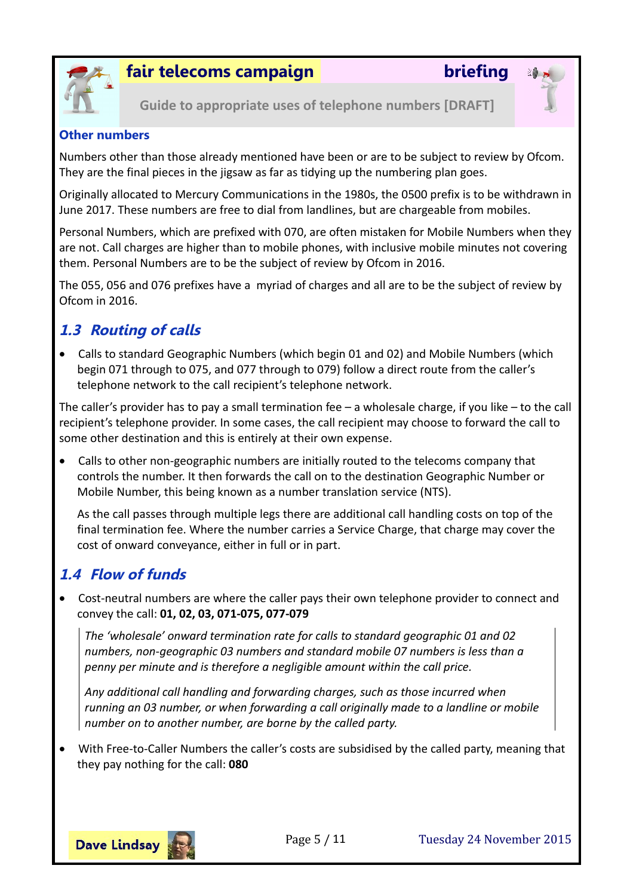



**Guide to appropriate uses of telephone numbers [DRAFT]**

#### <span id="page-4-2"></span>**Other numbers**

Numbers other than those already mentioned have been or are to be subject to review by Ofcom. They are the final pieces in the jigsaw as far as tidying up the numbering plan goes.

Originally allocated to Mercury Communications in the 1980s, the 0500 prefix is to be withdrawn in June 2017. These numbers are free to dial from landlines, but are chargeable from mobiles.

Personal Numbers, which are prefixed with 070, are often mistaken for Mobile Numbers when they are not. Call charges are higher than to mobile phones, with inclusive mobile minutes not covering them. Personal Numbers are to be the subject of review by Ofcom in 2016.

The 055, 056 and 076 prefixes have a myriad of charges and all are to be the subject of review by Ofcom in 2016.

## <span id="page-4-1"></span>**1.3 Routing of calls**

 Calls to standard Geographic Numbers (which begin 01 and 02) and Mobile Numbers (which begin 071 through to 075, and 077 through to 079) follow a direct route from the caller's telephone network to the call recipient's telephone network.

The caller's provider has to pay a small termination fee – a wholesale charge, if you like – to the call recipient's telephone provider. In some cases, the call recipient may choose to forward the call to some other destination and this is entirely at their own expense.

 Calls to other non-geographic numbers are initially routed to the telecoms company that controls the number. It then forwards the call on to the destination Geographic Number or Mobile Number, this being known as a number translation service (NTS).

As the call passes through multiple legs there are additional call handling costs on top of the final termination fee. Where the number carries a Service Charge, that charge may cover the cost of onward conveyance, either in full or in part.

## <span id="page-4-0"></span>**1.4 Flow of funds**

 Cost-neutral numbers are where the caller pays their own telephone provider to connect and convey the call: **01, 02, 03, 071-075, 077-079**

*The 'wholesale' onward termination rate for calls to standard geographic 01 and 02 numbers, non-geographic 03 numbers and standard mobile 07 numbers is less than a penny per minute and is therefore a negligible amount within the call price.*

*Any additional call handling and forwarding charges, such as those incurred when running an 03 number, or when forwarding a call originally made to a landline or mobile number on to another number, are borne by the called party.*

 With Free-to-Caller Numbers the caller's costs are subsidised by the called party, meaning that they pay nothing for the call: **080**

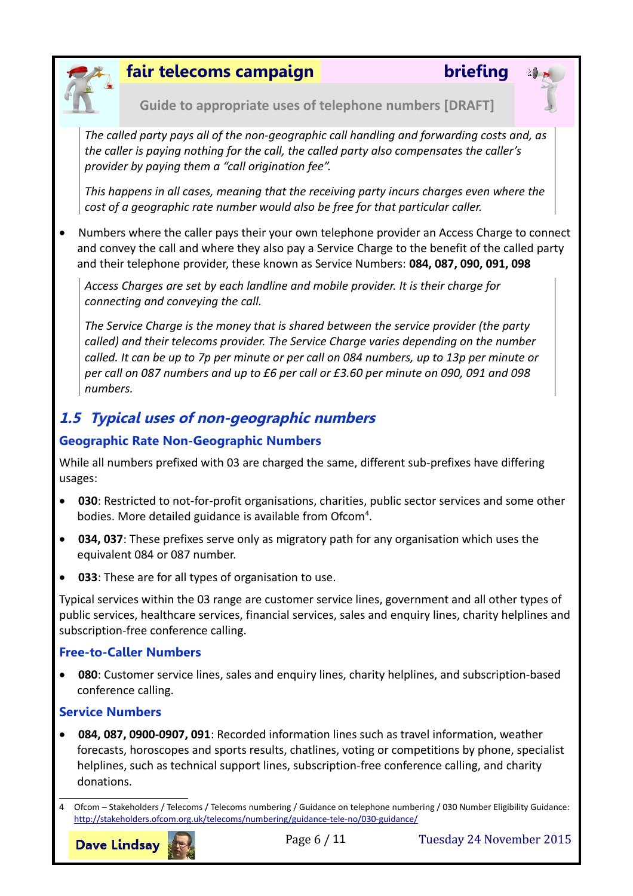



*The called party pays all of the non-geographic call handling and forwarding costs and, as the caller is paying nothing for the call, the called party also compensates the caller's provider by paying them a "call origination fee".*

*This happens in all cases, meaning that the receiving party incurs charges even where the cost of a geographic rate number would also be free for that particular caller.*

 Numbers where the caller pays their your own telephone provider an Access Charge to connect and convey the call and where they also pay a Service Charge to the benefit of the called party and their telephone provider, these known as Service Numbers: **084, 087, 090, 091, 098**

*Access Charges are set by each landline and mobile provider. It is their charge for connecting and conveying the call.*

*The Service Charge is the money that is shared between the service provider (the party called) and their telecoms provider. The Service Charge varies depending on the number called. It can be up to 7p per minute or per call on 084 numbers, up to 13p per minute or per call on 087 numbers and up to £6 per call or £3.60 per minute on 090, 091 and 098 numbers.*

## <span id="page-5-3"></span>**1.5 Typical uses of non-geographic numbers**

#### <span id="page-5-2"></span>**Geographic Rate Non-Geographic Numbers**

While all numbers prefixed with 03 are charged the same, different sub-prefixes have differing usages:

- **030**: Restricted to not-for-profit organisations, charities, public sector services and some other bodies. More detailed guidance is available from Ofcom<sup>[4](#page-5-4)</sup>.
- **034, 037**: These prefixes serve only as migratory path for any organisation which uses the equivalent 084 or 087 number.
- **033**: These are for all types of organisation to use.

Typical services within the 03 range are customer service lines, government and all other types of public services, healthcare services, financial services, sales and enquiry lines, charity helplines and subscription-free conference calling.

#### <span id="page-5-1"></span>**Free-to-Caller Numbers**

 **080**: Customer service lines, sales and enquiry lines, charity helplines, and subscription-based conference calling.

#### <span id="page-5-0"></span>**Service Numbers**

 **084, 087, 0900-0907, 091**: Recorded information lines such as travel information, weather forecasts, horoscopes and sports results, chatlines, voting or competitions by phone, specialist helplines, such as technical support lines, subscription-free conference calling, and charity donations.

**Dave Lindsay** 

<span id="page-5-4"></span><sup>4</sup> Ofcom – Stakeholders / Telecoms / Telecoms numbering / Guidance on telephone numbering / 030 Number Eligibility Guidance: <http://stakeholders.ofcom.org.uk/telecoms/numbering/guidance-tele-no/030-guidance/>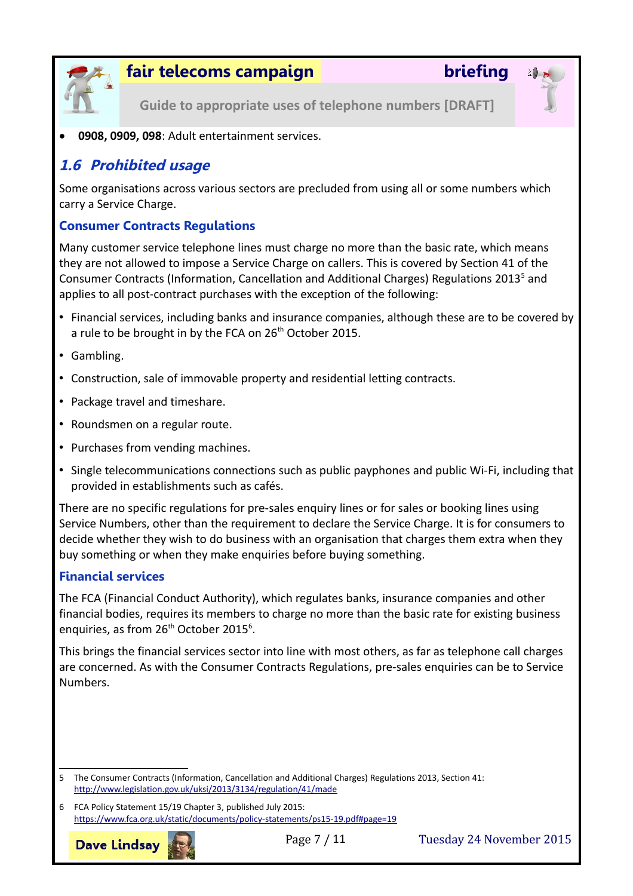

**Guide to appropriate uses of telephone numbers [DRAFT]**

**0908, 0909, 098**: Adult entertainment services.

### <span id="page-6-2"></span>**1.6 Prohibited usage**

Some organisations across various sectors are precluded from using all or some numbers which carry a Service Charge.

#### <span id="page-6-1"></span>**Consumer Contracts Regulations**

Many customer service telephone lines must charge no more than the basic rate, which means they are not allowed to impose a Service Charge on callers. This is covered by Section 41 of the Consumer Contracts (Information, Cancellation and Additional Charges) Regulations 2013<sup>[5](#page-6-3)</sup> and applies to all post-contract purchases with the exception of the following:

- Financial services, including banks and insurance companies, although these are to be covered by a rule to be brought in by the FCA on 26<sup>th</sup> October 2015.
- Gambling.
- Construction, sale of immovable property and residential letting contracts.
- Package travel and timeshare.
- Roundsmen on a regular route.
- Purchases from vending machines.
- Single telecommunications connections such as public payphones and public Wi-Fi, including that provided in establishments such as cafés.

There are no specific regulations for pre-sales enquiry lines or for sales or booking lines using Service Numbers, other than the requirement to declare the Service Charge. It is for consumers to decide whether they wish to do business with an organisation that charges them extra when they buy something or when they make enquiries before buying something.

#### <span id="page-6-0"></span>**Financial services**

The FCA (Financial Conduct Authority), which regulates banks, insurance companies and other financial bodies, requires its members to charge no more than the basic rate for existing business enquiries, as from  $26^{th}$  $26^{th}$  $26^{th}$  October 2015<sup>6</sup>.

This brings the financial services sector into line with most others, as far as telephone call charges are concerned. As with the Consumer Contracts Regulations, pre-sales enquiries can be to Service Numbers.

<span id="page-6-4"></span>6 FCA Policy Statement 15/19 Chapter 3, published July 2015: <https://www.fca.org.uk/static/documents/policy-statements/ps15-19.pdf#page=19>



<span id="page-6-3"></span><sup>5</sup> The Consumer Contracts (Information, Cancellation and Additional Charges) Regulations 2013, Section 41: <http://www.legislation.gov.uk/uksi/2013/3134/regulation/41/made>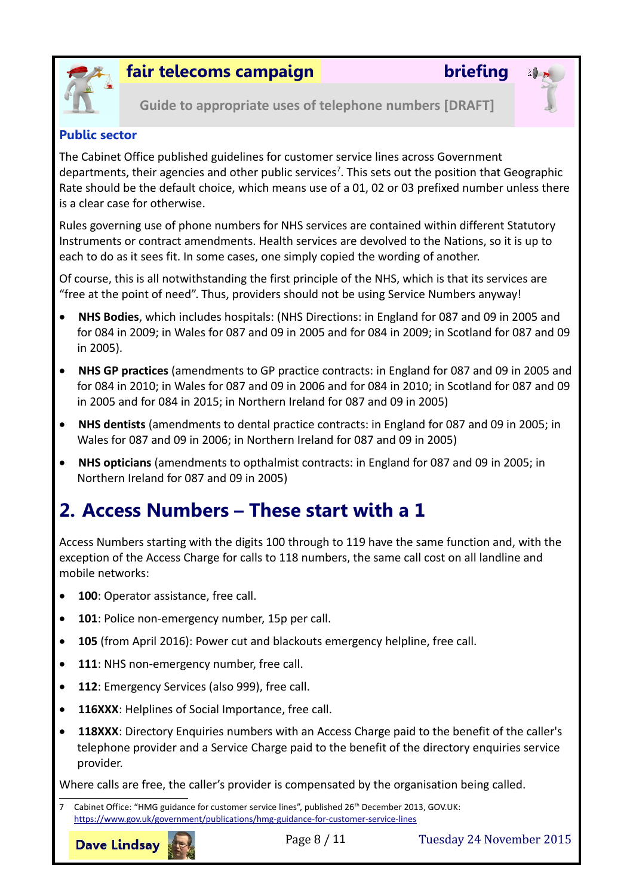



**Guide to appropriate uses of telephone numbers [DRAFT]**

#### <span id="page-7-1"></span>**Public sector**

The Cabinet Office published guidelines for customer service lines across Government departments, their agencies and other public services<sup>[7](#page-7-2)</sup>. This sets out the position that Geographic Rate should be the default choice, which means use of a 01, 02 or 03 prefixed number unless there is a clear case for otherwise.

Rules governing use of phone numbers for NHS services are contained within different Statutory Instruments or contract amendments. Health services are devolved to the Nations, so it is up to each to do as it sees fit. In some cases, one simply copied the wording of another.

Of course, this is all notwithstanding the first principle of the NHS, which is that its services are "free at the point of need". Thus, providers should not be using Service Numbers anyway!

- **NHS Bodies**, which includes hospitals: (NHS Directions: in England for 087 and 09 in 2005 and for 084 in 2009; in Wales for 087 and 09 in 2005 and for 084 in 2009; in Scotland for 087 and 09 in 2005).
- **NHS GP practices** (amendments to GP practice contracts: in England for 087 and 09 in 2005 and for 084 in 2010; in Wales for 087 and 09 in 2006 and for 084 in 2010; in Scotland for 087 and 09 in 2005 and for 084 in 2015; in Northern Ireland for 087 and 09 in 2005)
- **NHS dentists** (amendments to dental practice contracts: in England for 087 and 09 in 2005; in Wales for 087 and 09 in 2006; in Northern Ireland for 087 and 09 in 2005)
- **NHS opticians** (amendments to opthalmist contracts: in England for 087 and 09 in 2005; in Northern Ireland for 087 and 09 in 2005)

# <span id="page-7-0"></span>**2. Access Numbers – These start with a 1**

Access Numbers starting with the digits 100 through to 119 have the same function and, with the exception of the Access Charge for calls to 118 numbers, the same call cost on all landline and mobile networks:

- **100**: Operator assistance, free call.
- **101**: Police non-emergency number, 15p per call.
- **105** (from April 2016): Power cut and blackouts emergency helpline, free call.
- **111**: NHS non-emergency number, free call.
- **112**: Emergency Services (also 999), free call.
- **116XXX**: Helplines of Social Importance, free call.
- **118XXX**: Directory Enquiries numbers with an Access Charge paid to the benefit of the caller's telephone provider and a Service Charge paid to the benefit of the directory enquiries service provider.

Where calls are free, the caller's provider is compensated by the organisation being called.

<span id="page-7-2"></span>Cabinet Office: "HMG guidance for customer service lines", published 26<sup>th</sup> December 2013, GOV.UK: <https://www.gov.uk/government/publications/hmg-guidance-for-customer-service-lines>

**Dave Lindsay** 

Page 8 / 11 Tuesday 24 November 2015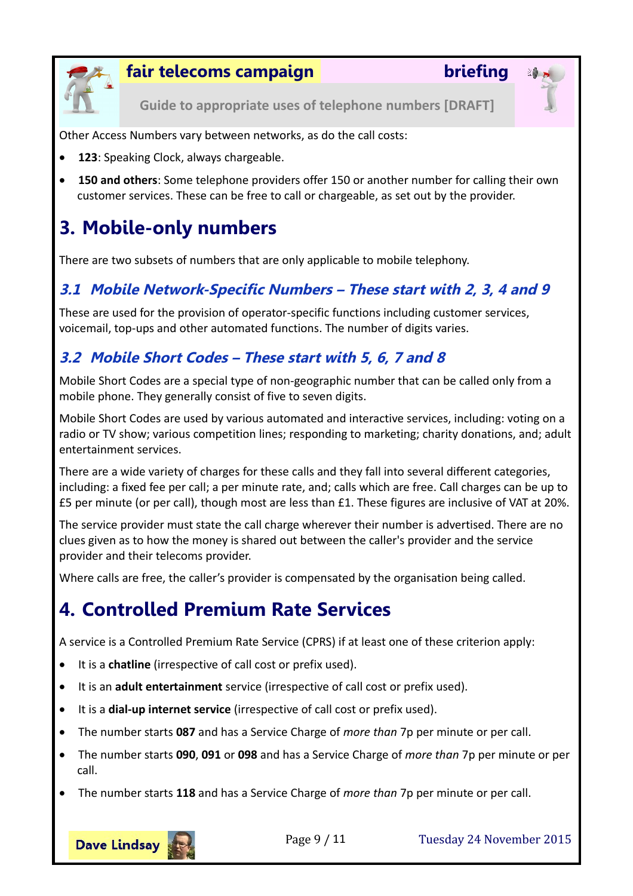

**Guide to appropriate uses of telephone numbers [DRAFT]**

Other Access Numbers vary between networks, as do the call costs:

- **123**: Speaking Clock, always chargeable.
- **150 and others**: Some telephone providers offer 150 or another number for calling their own customer services. These can be free to call or chargeable, as set out by the provider.

# <span id="page-8-3"></span>**3. Mobile-only numbers**

There are two subsets of numbers that are only applicable to mobile telephony.

## <span id="page-8-2"></span>**3.1 Mobile Network-Specific Numbers – These start with 2, 3, 4 and 9**

These are used for the provision of operator-specific functions including customer services, voicemail, top-ups and other automated functions. The number of digits varies.

## <span id="page-8-1"></span>**3.2 Mobile Short Codes – These start with 5, 6, 7 and 8**

Mobile Short Codes are a special type of non-geographic number that can be called only from a mobile phone. They generally consist of five to seven digits.

Mobile Short Codes are used by various automated and interactive services, including: voting on a radio or TV show; various competition lines; responding to marketing; charity donations, and; adult entertainment services.

There are a wide variety of charges for these calls and they fall into several different categories, including: a fixed fee per call; a per minute rate, and; calls which are free. Call charges can be up to £5 per minute (or per call), though most are less than £1. These figures are inclusive of VAT at 20%.

The service provider must state the call charge wherever their number is advertised. There are no clues given as to how the money is shared out between the caller's provider and the service provider and their telecoms provider.

Where calls are free, the caller's provider is compensated by the organisation being called.

# <span id="page-8-0"></span>**4. Controlled Premium Rate Services**

A service is a Controlled Premium Rate Service (CPRS) if at least one of these criterion apply:

- It is a **chatline** (irrespective of call cost or prefix used).
- It is an **adult entertainment** service (irrespective of call cost or prefix used).
- It is a **dial-up internet service** (irrespective of call cost or prefix used).
- The number starts **087** and has a Service Charge of *more than* 7p per minute or per call.
- The number starts **090**, **091** or **098** and has a Service Charge of *more than* 7p per minute or per call.
- The number starts **118** and has a Service Charge of *more than* 7p per minute or per call.



Page 9 / 11 Tuesday 24 November 2015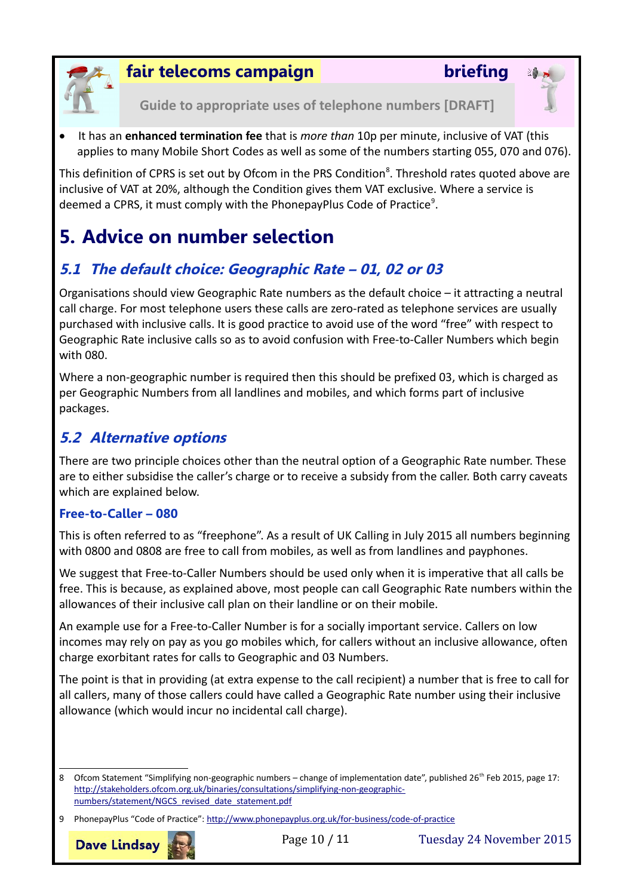



**Guide to appropriate uses of telephone numbers [DRAFT]**

 It has an **enhanced termination fee** that is *more than* 10p per minute, inclusive of VAT (this applies to many Mobile Short Codes as well as some of the numbers starting 055, 070 and 076).

This definition of CPRS is set out by Ofcom in the PRS Condition<sup>[8](#page-9-4)</sup>. Threshold rates quoted above are inclusive of VAT at 20%, although the Condition gives them VAT exclusive. Where a service is deemed a CPRS, it must comply with the PhonepayPlus Code of Practice<sup>[9](#page-9-5)</sup>.

# <span id="page-9-1"></span>**5. Advice on number selection**

## <span id="page-9-0"></span>**5.1 The default choice: Geographic Rate – 01, 02 or 03**

Organisations should view Geographic Rate numbers as the default choice – it attracting a neutral call charge. For most telephone users these calls are zero-rated as telephone services are usually purchased with inclusive calls. It is good practice to avoid use of the word "free" with respect to Geographic Rate inclusive calls so as to avoid confusion with Free-to-Caller Numbers which begin with 080.

Where a non-geographic number is required then this should be prefixed 03, which is charged as per Geographic Numbers from all landlines and mobiles, and which forms part of inclusive packages.

## <span id="page-9-3"></span>**5.2 Alternative options**

There are two principle choices other than the neutral option of a Geographic Rate number. These are to either subsidise the caller's charge or to receive a subsidy from the caller. Both carry caveats which are explained below.

### <span id="page-9-2"></span>**Free-to-Caller – 080**

This is often referred to as "freephone". As a result of UK Calling in July 2015 all numbers beginning with 0800 and 0808 are free to call from mobiles, as well as from landlines and payphones.

We suggest that Free-to-Caller Numbers should be used only when it is imperative that all calls be free. This is because, as explained above, most people can call Geographic Rate numbers within the allowances of their inclusive call plan on their landline or on their mobile.

An example use for a Free-to-Caller Number is for a socially important service. Callers on low incomes may rely on pay as you go mobiles which, for callers without an inclusive allowance, often charge exorbitant rates for calls to Geographic and 03 Numbers.

The point is that in providing (at extra expense to the call recipient) a number that is free to call for all callers, many of those callers could have called a Geographic Rate number using their inclusive allowance (which would incur no incidental call charge).

<span id="page-9-5"></span><sup>9</sup> PhonepayPlus "Code of Practice":<http://www.phonepayplus.org.uk/for-business/code-of-practice>



<span id="page-9-4"></span><sup>8</sup> Ofcom Statement "Simplifying non-geographic numbers – change of implementation date", published 26<sup>th</sup> Feb 2015, page 17: [http://stakeholders.ofcom.org.uk/binaries/consultations/simplifying-non-geographic](http://stakeholders.ofcom.org.uk/binaries/consultations/simplifying-non-geographic-numbers/statement/NGCS_revised_date_statement.pdf)[numbers/statement/NGCS\\_revised\\_date\\_statement.pdf](http://stakeholders.ofcom.org.uk/binaries/consultations/simplifying-non-geographic-numbers/statement/NGCS_revised_date_statement.pdf)